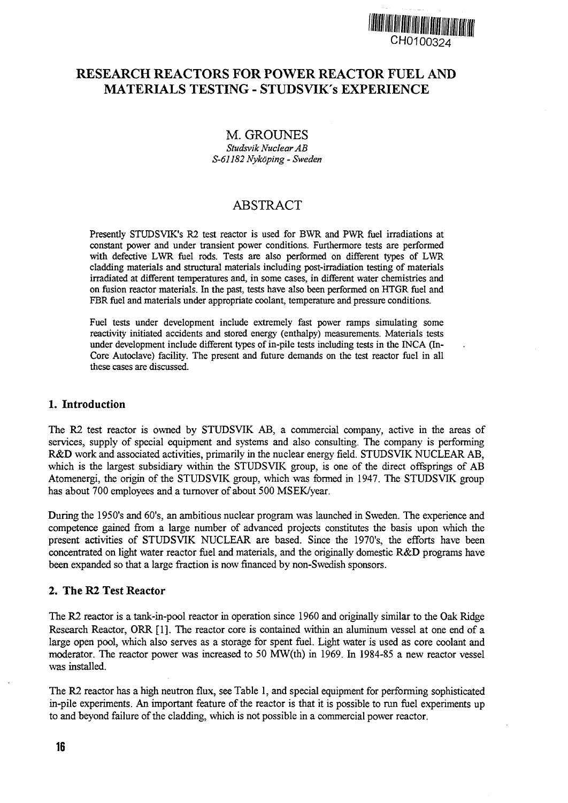

## **RESEARCH REACTORS FOR POWER REACTOR FUEL AND MATERIALS TESTING - STUDSVIK's EXPERIENCE**

### M. GROUNES

*Studsvik Nuclear AB S-61182 Nykdping - Sweden*

# ABSTRACT

Presently STUDSVIK's R2 test reactor is used for BWR and PWR fuel irradiations at constant power and under transient power conditions. Furthermore tests are performed with defective LWR fuel rods. Tests are also performed on different types of LWR cladding materials and structural materials including post-irradiation testing of materials irradiated at different temperatures and, in some cases, in different water chemistries and on fusion reactor materials. In the past, tests have also been performed on HTGR fuel and FBR fuel and materials under appropriate coolant, temperature and pressure conditions.

Fuel tests under development include extremely fast power ramps simulating some reactivity initiated accidents and stored energy (enthalpy) measurements. Materials tests under development include different types of in-pile tests including tests in the INCA (In-Core Autoclave) facility. The present and future demands on the test reactor fuel in all these cases are discussed.

#### 1. Introduction

The R2 test reactor is owned by STUDSVIK AB, a commercial company, active in the areas of services, supply of special equipment and systems and also consulting. The company is performing R&D work and associated activities, primarily in the nuclear energy field. STUDSVIK NUCLEAR AB, which is the largest subsidiary within the STUDSVIK group, is one of the direct offsprings of AB Atomenergi, the origin of the STUDSVIK group, which was formed in 1947. The STUDSVIK group has about 700 employees and a turnover of about 500 MSEK/year.

During the 1950's and 60's, an ambitious nuclear program was launched in Sweden. The experience and competence gained from a large number of advanced projects constitutes the basis upon which the present activities of STUDSVIK NUCLEAR are based. Since the 1970's, the efforts have been concentrated on light water reactor fuel and materials, and the originally domestic R&D programs have been expanded so that a large fraction is now financed by non-Swedish sponsors.

#### **2. The R2 Test Reactor**

The R2 reactor is a tank-in-pool reactor in operation since 1960 and originally similar to the Oak Ridge Research Reactor, ORR [1]. The reactor core is contained within an aluminum vessel at one end of a large open pool, which also serves as a storage for spent fuel. Light water is used as core coolant and moderator. The reactor power was increased to 50 MW(th) in 1969. In 1984-85 a new reactor vessel was installed.

The R2 reactor has a high neutron flux, see Table 1, and special equipment for performing sophisticated in-pile experiments. An important feature of the reactor is that it is possible to run fuel experiments up to and beyond failure of the cladding, which is not possible in a commercial power reactor.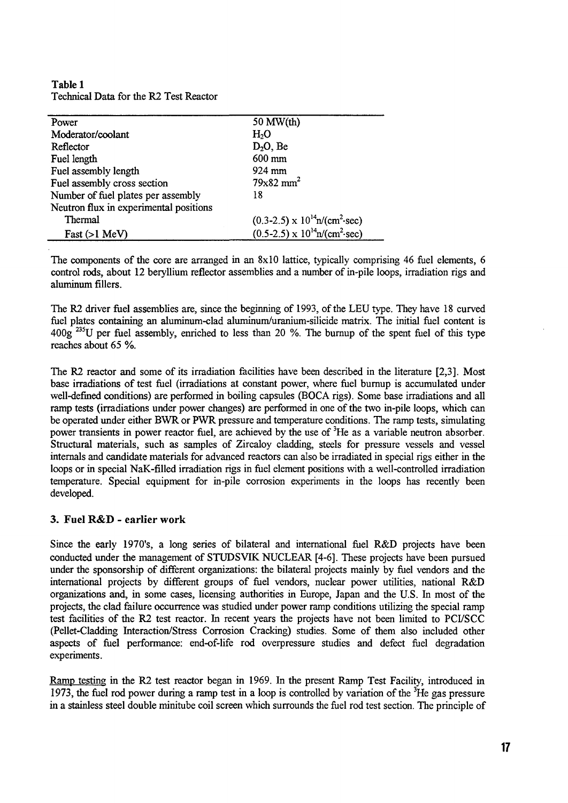**Table 1** Technical Data for the R2 Test Reactor

| Power                                  | 50 MW(th)                                           |
|----------------------------------------|-----------------------------------------------------|
| Moderator/coolant                      | H <sub>2</sub> O                                    |
| Reflector                              | $D_2O$ , Be                                         |
| Fuel length                            | 600 mm                                              |
| Fuel assembly length                   | 924 mm                                              |
| Fuel assembly cross section            | $79x82$ mm <sup>2</sup>                             |
| Number of fuel plates per assembly     | 18                                                  |
| Neutron flux in experimental positions |                                                     |
| Thermal                                | $(0.3-2.5) \times 10^{14}$ n/(cm <sup>2</sup> ·sec) |
| $Fast (>1$ MeV)                        | $(0.5-2.5) \times 10^{14}$ n/(cm <sup>2</sup> ·sec) |

The components of the core are arranged in an 8x10 lattice, typically comprising 46 fuel elements, 6 control rods, about 12 beryllium reflector assemblies and a number of in-pile loops, irradiation rigs and aluminum fillers.

The R2 driver fuel assemblies are, since the beginning of 1993, of the LEU type. They have 18 curved fuel plates containing an aluminum-clad aluminum/uranium-silicide matrix. The initial fuel content is  $400g$ <sup>235</sup>U per fuel assembly, enriched to less than 20 %. The burnup of the spent fuel of this type reaches about 65 %.

The R2 reactor and some of its irradiation facilities have been described in the literature [2,3]. Most base irradiations of test fuel (irradiations at constant power, where fuel burnup is accumulated under well-defined conditions) are performed in boiling capsules (BOCA rigs). Some base irradiations and all ramp tests (irradiations under power changes) are performed in one of the two in-pile loops, which can be operated under either BWR or PWR pressure and temperature conditions. The ramp tests, simulating power transients in power reactor fuel, are achieved by the use of <sup>3</sup>He as a variable neutron absorber. Structural materials, such as samples of Zircaloy cladding, steels for pressure vessels and vessel internals and candidate materials for advanced reactors can also be irradiated in special rigs either in the loops or in special NaK-filled irradiation rigs in fuel element positions with a well-controlled irradiation temperature. Special equipment for in-pile corrosion experiments in the loops has recently been developed.

#### **3. Fuel R&D - earlier work**

Since the early 1970's, a long series of bilateral and international fuel R&D projects have been conducted under the management of STUDSVIK NUCLEAR [4-6]. These projects have been pursued under the sponsorship of different organizations: the bilateral projects mainly by fuel vendors and the international projects by different groups of fuel vendors, nuclear power utilities, national R&D organizations and, in some cases, licensing authorities in Europe, Japan and the U.S. In most of the projects, the clad failure occurrence was studied under power ramp conditions utilizing the special ramp test facilities of the R2 test reactor. In recent years the projects have not been limited to PCI/SCC (Pellet-Cladding Interaction/Stress Corrosion Cracking) studies. Some of them also included other aspects of fuel performance: end-of-life rod overpressure studies and defect fuel degradation experiments.

Ramp testing in the R2 test reactor began in 1969. In the present Ramp Test Facility, introduced in 1973, the fuel rod power during a ramp test in a loop is controlled by variation of the <sup>3</sup>He gas pressure in a stainless steel double minitube coil screen which surrounds the fuel rod test section. The principle of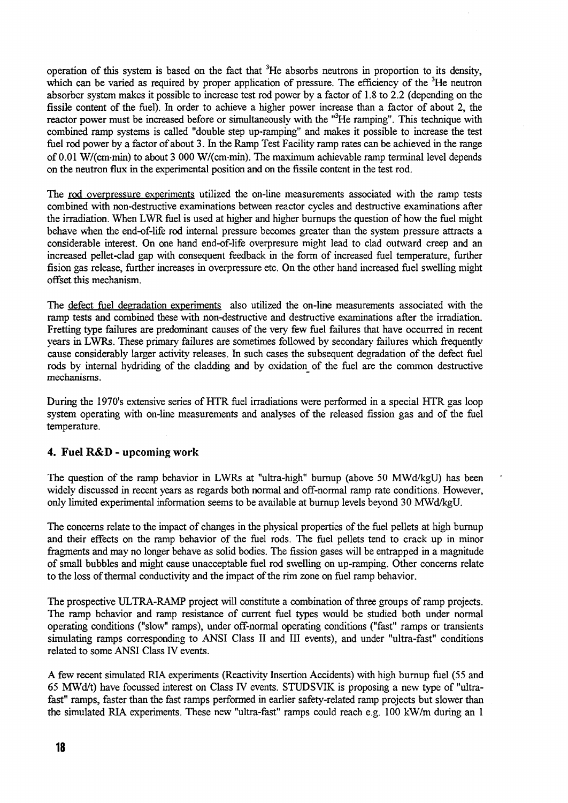operation of this system is based on the fact that <sup>3</sup>He absorbs neutrons in proportion to its density, which can be varied as required by proper application of pressure. The efficiency of the <sup>3</sup>He neutron absorber system makes it possible to increase test rod power by a factor of 1.8 to 2.2 (depending on the fissile content of the fuel). In order to achieve a higher power increase than a factor of about 2, the reactor power must be increased before or simultaneously with the "<sup>3</sup>He ramping". This technique with combined ramp systems is called "double step up-ramping" and makes it possible to increase the test fuel rod power by **a** factor of about 3. In the Ramp Test Facility ramp rates can be achieved in the range of 0.01 W/(cm-min) to about 3 000 W/(cm-min). The maximum achievable ramp terminal level depends on the neutron flux in the experimental position and on the fissile content in the test rod.

The rod overpressure experiments utilized the on-line measurements associated with the ramp tests combined with non-destructive examinations between reactor cycles and destructive examinations after the irradiation. When LWR fuel is used at higher and higher burnups the question of how the fuel might behave when the end-of-life rod internal pressure becomes greater than the system pressure attracts a considerable interest. On one hand end-of-life overpresure might lead to clad outward creep and an increased pellet-clad gap with consequent feedback in the form of increased fuel temperature, further fision gas release, further increases in overpressure etc. On the other hand increased fuel swelling might offset this mechanism.

The defect fuel degradation experiments also utilized the on-line measurements associated with the ramp tests and combined these with non-destructive and destructive examinations after the irradiation. Fretting type failures are predominant causes of the very few fuel failures that have occurred in recent years in LWRs. These primary failures are sometimes followed by secondary failures which frequently cause considerably larger activity releases. In such cases the subsequent degradation of the defect fuel rods by internal hydriding of the cladding and by oxidation of the fuel are the common destructive mechanisms.

During the 1970's extensive series of HTR fuel irradiations were performed in a special HTR gas loop system operating with on-line measurements and analyses of the released fission gas and of the fuel temperature.

#### **4. Fuel R&D - upcoming work**

The question of the ramp behavior in LWRs at "ultra-high" burnup (above 50 MWd/kgU) has been widely discussed in recent years as regards both normal and off-normal ramp rate conditions. However, only limited experimental information seems to be available at burnup levels beyond 30 MWd/kgU.

The concerns relate to the impact of changes in the physical properties of the fuel pellets at high burnup and their effects on the ramp behavior of the fuel rods. The fuel pellets tend to crack up in minor fragments and may no longer behave as solid bodies. The fission gases will be entrapped in a magnitude of small bubbles and might cause unacceptable fuel rod swelling on up-ramping. Other concerns relate to the loss of thermal conductivity and the impact of the rim zone on fuel ramp behavior.

The prospective ULTRA-RAMP project will constitute a combination of three groups of ramp projects. The ramp behavior and ramp resistance of current fuel types would be studied both under normal operating conditions ("slow" ramps), under off-normal operating conditions ("fast" ramps or transients simulating ramps corresponding to ANSI Class II and III events), and under "ultra-fast" conditions related to some ANSI Class IV events.

A few recent simulated RIA experiments (Reactivity Insertion Accidents) with high burnup fuel (55 and 65 MWd/t) have focussed interest on Class IV events. STUDSVIK is proposing a new type of "ultrafast" ramps, faster than the fast ramps performed in earlier safety-related ramp projects but slower than the simulated RIA experiments. These new "ultra-fast" ramps could reach e.g. 100 kW/m during an 1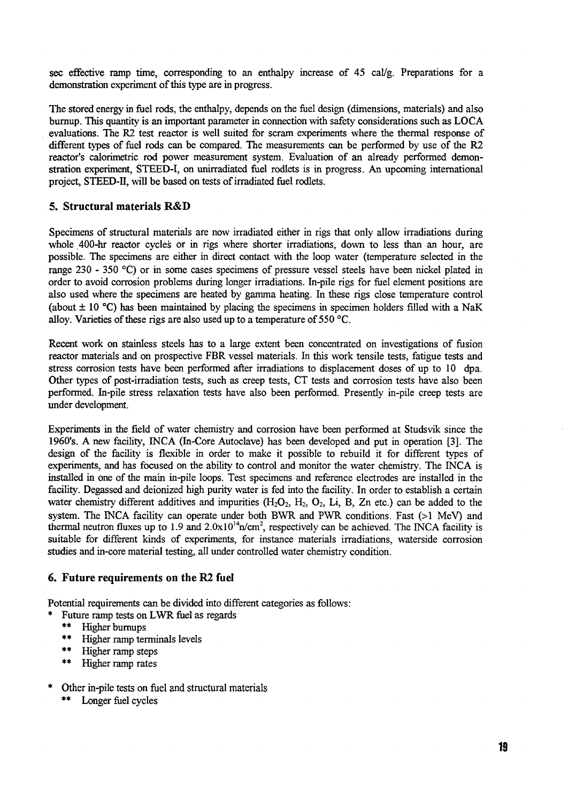sec effective ramp time, corresponding to an enthalpy increase of 45 cal/g. Preparations for a demonstration experiment of this type are in progress.

The stored energy in fuel rods, the enthalpy, depends on the fuel design (dimensions, materials) and also burnup. This quantity is an important parameter in connection with safety considerations such as LOCA evaluations. The R2 test reactor is well suited for scram experiments where the thermal response of different types of fuel rods can be compared. The measurements can be performed by use of the R2 reactor's calorimetric rod power measurement system. Evaluation of an already performed demonstration experiment, STEED-I, on unirradiated fuel rodlets is in progress. An upcoming international project, STEED-II, will be based on tests of irradiated fuel rodlets.

#### **5. Structural materials R&D**

Specimens of structural materials are now irradiated either in rigs that only allow irradiations during whole 400-hr reactor cycles or in rigs where shorter irradiations, down to less than an hour, are possible. The specimens are either in direct contact with the loop water (temperature selected in the range 230 - 350 °C) or in some cases specimens of pressure vessel steels have been nickel plated in order to avoid corrosion problems during longer irradiations. In-pile rigs for fuel element positions are also used where the specimens are heated by gamma heating. In these rigs close temperature control (about  $\pm 10$  °C) has been maintained by placing the specimens in specimen holders filled with a NaK alloy. Varieties of these rigs are also used up to a temperature of  $550^{\circ}$ °C.

Recent work on stainless steels has to a large extent been concentrated on investigations of fusion reactor materials and on prospective FBR vessel materials. In this work tensile tests, fatigue tests and stress corrosion tests have been performed after irradiations to displacement doses of up to 10 dpa. Other types of post-irradiation tests, such as creep tests, CT tests and corrosion tests have also been performed. In-pile stress relaxation tests have also been performed. Presently in-pile creep tests are under development.

Experiments in the field of water chemistry and corrosion have been performed at Studsvik since the 1960's. A new facility, INCA (In-Core Autoclave) has been developed and put in operation [3]. The design of the facility is flexible in order to make it possible to rebuild it for different types of experiments, and has focused on the ability to control and monitor the water chemistry. The INCA is installed in one of the main in-pile loops. Test specimens and reference electrodes are installed in the facility. Degassed and deionized high purity water is fed into the facility. In order to establish a certain water chemistry different additives and impurities  $(H_2O_2, H_2, O_2, Li, B, Zn$  etc.) can be added to the system. The INCA facility can operate under both BWR and PWR conditions. Fast (>1 MeV) and thermal neutron fluxes up to 1.9 and  $2.0 \times 10^{14}$ n/cm<sup>2</sup>, respectively can be achieved. The INCA facility is suitable for different kinds of experiments, for instance materials irradiations, waterside corrosion studies and in-core material testing, all under controlled water chemistry condition.

#### **6. Future requirements on the R2 fuel**

Potential requirements can be divided into different categories as follows:

- Future ramp tests on LWR fuel as regards
- \*\* Higher burnups<br>\*\* Higher rann ter
- Higher ramp terminals levels
- \*\* Higher ramp steps<br>\*\* Higher ramp rates
- Higher ramp rates
- Other in-pile tests on fuel and structural materials \*\* Longer fuel cycles